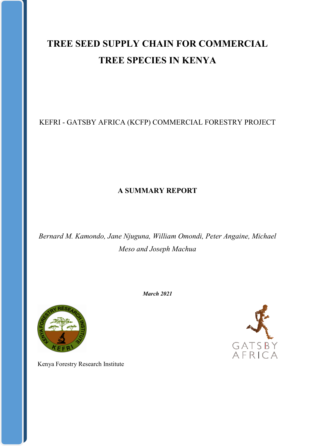# **TREE SEED SUPPLY CHAIN FOR COMMERCIAL TREE SPECIES IN KENYA**

# KEFRI - GATSBY AFRICA (KCFP) COMMERCIAL FORESTRY PROJECT

# **A SUMMARY REPORT**

*Bernard M. Kamondo, Jane Njuguna, William Omondi, Peter Angaine, Michael Meso and Joseph Machua*



Kenya Forestry Research Institute

*March 2021*

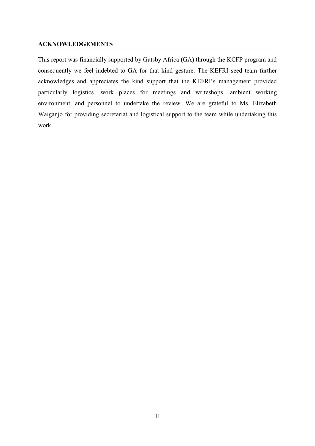#### <span id="page-1-0"></span>**ACKNOWLEDGEMENTS**

This report was financially supported by Gatsby Africa (GA) through the KCFP program and consequently we feel indebted to GA for that kind gesture. The KEFRI seed team further acknowledges and appreciates the kind support that the KEFRI's management provided particularly logistics, work places for meetings and writeshops, ambient working environment, and personnel to undertake the review. We are grateful to Ms. Elizabeth Waiganjo for providing secretariat and logistical support to the team while undertaking this work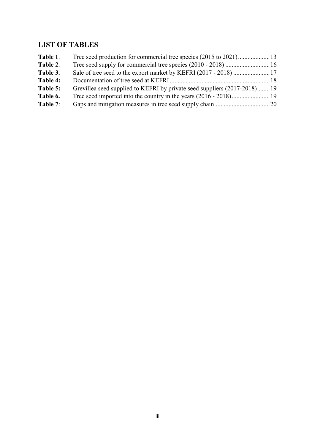# <span id="page-2-0"></span>**LIST OF TABLES**

| Table 1. |                                                                          |  |
|----------|--------------------------------------------------------------------------|--|
| Table 2. |                                                                          |  |
| Table 3. |                                                                          |  |
| Table 4: |                                                                          |  |
| Table 5: | Grevillea seed supplied to KEFRI by private seed suppliers (2017-2018)19 |  |
| Table 6. |                                                                          |  |
| Table 7: |                                                                          |  |
|          |                                                                          |  |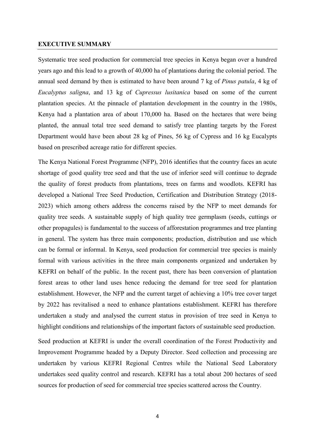#### <span id="page-3-0"></span>**EXECUTIVE SUMMARY**

Systematic tree seed production for commercial tree species in Kenya began over a hundred years ago and this lead to a growth of 40,000 ha of plantations during the colonial period. The annual seed demand by then is estimated to have been around 7 kg of *Pinus patula*, 4 kg of *Eucalyptus saligna*, and 13 kg of *Cupressus lusitanica* based on some of the current plantation species. At the pinnacle of plantation development in the country in the 1980s, Kenya had a plantation area of about 170,000 ha. Based on the hectares that were being planted, the annual total tree seed demand to satisfy tree planting targets by the Forest Department would have been about 28 kg of Pines, 56 kg of Cypress and 16 kg Eucalypts based on prescribed acreage ratio for different species.

The Kenya National Forest Programme (NFP), 2016 identifies that the country faces an acute shortage of good quality tree seed and that the use of inferior seed will continue to degrade the quality of forest products from plantations, trees on farms and woodlots. KEFRI has developed a National Tree Seed Production, Certification and Distribution Strategy (2018- 2023) which among others address the concerns raised by the NFP to meet demands for quality tree seeds. A sustainable supply of high quality tree germplasm (seeds, cuttings or other propagules) is fundamental to the success of afforestation programmes and tree planting in general. The system has three main components; production, distribution and use which can be formal or informal. In Kenya, seed production for commercial tree species is mainly formal with various activities in the three main components organized and undertaken by KEFRI on behalf of the public. In the recent past, there has been conversion of plantation forest areas to other land uses hence reducing the demand for tree seed for plantation establishment. However, the NFP and the current target of achieving a 10% tree cover target by 2022 has revitalised a need to enhance plantations establishment. KEFRI has therefore undertaken a study and analysed the current status in provision of tree seed in Kenya to highlight conditions and relationships of the important factors of sustainable seed production.

Seed production at KEFRI is under the overall coordination of the Forest Productivity and Improvement Programme headed by a Deputy Director. Seed collection and processing are undertaken by various KEFRI Regional Centres while the National Seed Laboratory undertakes seed quality control and research. KEFRI has a total about 200 hectares of seed sources for production of seed for commercial tree species scattered across the Country.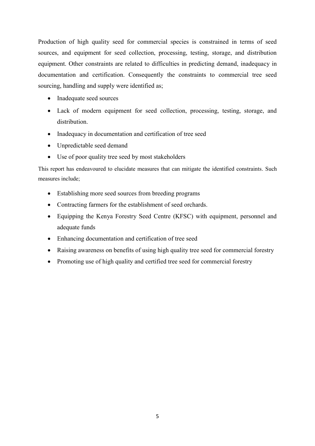Production of high quality seed for commercial species is constrained in terms of seed sources, and equipment for seed collection, processing, testing, storage, and distribution equipment. Other constraints are related to difficulties in predicting demand, inadequacy in documentation and certification. Consequently the constraints to commercial tree seed sourcing, handling and supply were identified as;

- Inadequate seed sources
- Lack of modern equipment for seed collection, processing, testing, storage, and distribution.
- Inadequacy in documentation and certification of tree seed
- Unpredictable seed demand
- Use of poor quality tree seed by most stakeholders

This report has endeavoured to elucidate measures that can mitigate the identified constraints. Such measures include;

- Establishing more seed sources from breeding programs
- Contracting farmers for the establishment of seed orchards.
- Equipping the Kenya Forestry Seed Centre (KFSC) with equipment, personnel and adequate funds
- Enhancing documentation and certification of tree seed
- Raising awareness on benefits of using high quality tree seed for commercial forestry
- Promoting use of high quality and certified tree seed for commercial forestry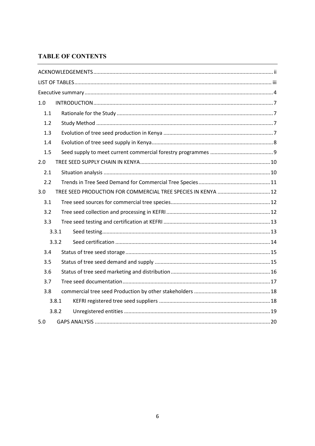### **TABLE OF CONTENTS**

| 1.0 |       |                                                               |  |  |  |  |
|-----|-------|---------------------------------------------------------------|--|--|--|--|
| 1.1 |       |                                                               |  |  |  |  |
| 1.2 |       |                                                               |  |  |  |  |
| 1.3 |       |                                                               |  |  |  |  |
| 1.4 |       |                                                               |  |  |  |  |
| 1.5 |       |                                                               |  |  |  |  |
| 2.0 |       |                                                               |  |  |  |  |
| 2.1 |       |                                                               |  |  |  |  |
| 2.2 |       |                                                               |  |  |  |  |
| 3.0 |       | TREE SEED PRODUCTION FOR COMMERCIAL TREE SPECIES IN KENYA  12 |  |  |  |  |
| 3.1 |       |                                                               |  |  |  |  |
| 3.2 |       |                                                               |  |  |  |  |
| 3.3 |       |                                                               |  |  |  |  |
|     | 3.3.1 |                                                               |  |  |  |  |
|     | 3.3.2 |                                                               |  |  |  |  |
| 3.4 |       |                                                               |  |  |  |  |
| 3.5 |       |                                                               |  |  |  |  |
| 3.6 |       |                                                               |  |  |  |  |
| 3.7 |       |                                                               |  |  |  |  |
| 3.8 |       |                                                               |  |  |  |  |
|     | 3.8.1 |                                                               |  |  |  |  |
|     | 3.8.2 |                                                               |  |  |  |  |
| 5.0 |       |                                                               |  |  |  |  |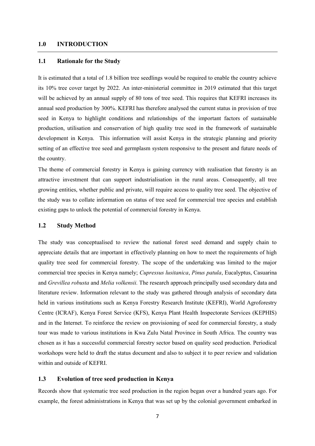#### <span id="page-6-0"></span>**1.0 INTRODUCTION**

#### <span id="page-6-1"></span>**1.1 Rationale for the Study**

It is estimated that a total of 1.8 billion tree seedlings would be required to enable the country achieve its 10% tree cover target by 2022. An inter-ministerial committee in 2019 estimated that this target will be achieved by an annual supply of 80 tons of tree seed. This requires that KEFRI increases its annual seed production by 300%. KEFRI has therefore analysed the current status in provision of tree seed in Kenya to highlight conditions and relationships of the important factors of sustainable production, utilisation and conservation of high quality tree seed in the framework of sustainable development in Kenya. This information will assist Kenya in the strategic planning and priority setting of an effective tree seed and germplasm system responsive to the present and future needs of the country.

The theme of commercial forestry in Kenya is gaining currency with realisation that forestry is an attractive investment that can support industrialisation in the rural areas. Consequently, all tree growing entities, whether public and private, will require access to quality tree seed. The objective of the study was to collate information on status of tree seed for commercial tree species and establish existing gaps to unlock the potential of commercial forestry in Kenya.

#### <span id="page-6-2"></span>**1.2 Study Method**

The study was conceptualised to review the national forest seed demand and supply chain to appreciate details that are important in effectively planning on how to meet the requirements of high quality tree seed for commercial forestry. The scope of the undertaking was limited to the major commercial tree species in Kenya namely; *Cupressus lusitanica*, *Pinus patula*, Eucalyptus, Casuarina and *Grevillea robusta* and *Melia volkensii.* The research approach principally used secondary data and literature review. Information relevant to the study was gathered through analysis of secondary data held in various institutions such as Kenya Forestry Research Institute (KEFRI), World Agroforestry Centre (ICRAF), Kenya Forest Service (KFS), Kenya Plant Health Inspectorate Services (KEPHIS) and in the Internet. To reinforce the review on provisioning of seed for commercial forestry, a study tour was made to various institutions in Kwa Zulu Natal Province in South Africa. The country was chosen as it has a successful commercial forestry sector based on quality seed production. Periodical workshops were held to draft the status document and also to subject it to peer review and validation within and outside of KEFRI.

#### <span id="page-6-3"></span>**1.3 Evolution of tree seed production in Kenya**

Records show that systematic tree seed production in the region began over a hundred years ago. For example, the forest administrations in Kenya that was set up by the colonial government embarked in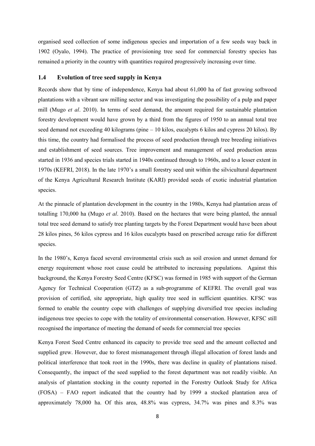organised seed collection of some indigenous species and importation of a few seeds way back in 1902 (Oyalo, 1994). The practice of provisioning tree seed for commercial forestry species has remained a priority in the country with quantities required progressively increasing over time.

#### <span id="page-7-0"></span>**1.4 Evolution of tree seed supply in Kenya**

Records show that by time of independence, Kenya had about 61,000 ha of fast growing softwood plantations with a vibrant saw milling sector and was investigating the possibility of a pulp and paper mill (Mugo *et al*. 2010). In terms of seed demand, the amount required for sustainable plantation forestry development would have grown by a third from the figures of 1950 to an annual total tree seed demand not exceeding 40 kilograms (pine – 10 kilos, eucalypts 6 kilos and cypress 20 kilos). By this time, the country had formalised the process of seed production through tree breeding initiatives and establishment of seed sources. Tree improvement and management of seed production areas started in 1936 and species trials started in 1940s continued through to 1960s, and to a lesser extent in 1970s (KEFRI, 2018). In the late 1970's a small forestry seed unit within the silvicultural department of the Kenya Agricultural Research Institute (KARI) provided seeds of exotic industrial plantation species.

At the pinnacle of plantation development in the country in the 1980s, Kenya had plantation areas of totalling 170,000 ha (Mugo *et al*. 2010). Based on the hectares that were being planted, the annual total tree seed demand to satisfy tree planting targets by the Forest Department would have been about 28 kilos pines, 56 kilos cypress and 16 kilos eucalypts based on prescribed acreage ratio for different species.

In the 1980's, Kenya faced several environmental crisis such as soil erosion and unmet demand for energy requirement whose root cause could be attributed to increasing populations. Against this background, the Kenya Forestry Seed Centre (KFSC) was formed in 1985 with support of the German Agency for Technical Cooperation (GTZ) as a sub-programme of KEFRI. The overall goal was provision of certified, site appropriate, high quality tree seed in sufficient quantities. KFSC was formed to enable the country cope with challenges of supplying diversified tree species including indigenous tree species to cope with the totality of environmental conservation. However, KFSC still recognised the importance of meeting the demand of seeds for commercial tree species

Kenya Forest Seed Centre enhanced its capacity to provide tree seed and the amount collected and supplied grew. However, due to forest mismanagement through illegal allocation of forest lands and political interference that took root in the 1990s, there was decline in quality of plantations raised. Consequently, the impact of the seed supplied to the forest department was not readily visible. An analysis of plantation stocking in the county reported in the Forestry Outlook Study for Africa (FOSA) – FAO report indicated that the country had by 1999 a stocked plantation area of approximately 78,000 ha. Of this area, 48.8% was cypress, 34.7% was pines and 8.3% was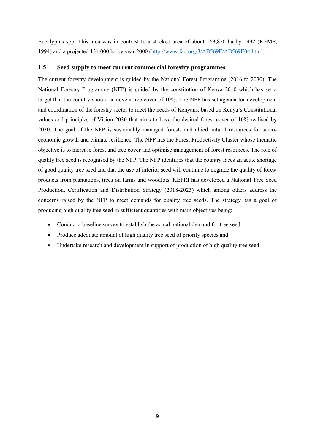Eucalyptus spp. This area was in contrast to a stocked area of about 163,820 ha by 1992 (KFMP, 1994) and a projected 134,000 ha by year 2000 [\(http://www.fao.org/3/AB569E/AB569E04.htm\)](http://www.fao.org/3/AB569E/AB569E04.htm).

#### <span id="page-8-0"></span>**1.5 Seed supply to meet current commercial forestry programmes**

The current forestry development is guided by the National Forest Programme (2016 to 2030). The National Forestry Programme (NFP) is guided by the constitution of Kenya 2010 which has set a target that the country should achieve a tree cover of 10%. The NFP has set agenda for development and coordination of the forestry sector to meet the needs of Kenyans, based on Kenya's Constitutional values and principles of Vision 2030 that aims to have the desired forest cover of 10% realised by 2030. The goal of the NFP is sustainably managed forests and allied natural resources for socioeconomic growth and climate resilience. The NFP has the Forest Productivity Cluster whose thematic objective is to increase forest and tree cover and optimise management of forest resources. The role of quality tree seed is recognised by the NFP. The NFP identifies that the country faces an acute shortage of good quality tree seed and that the use of inferior seed will continue to degrade the quality of forest products from plantations, trees on farms and woodlots. KEFRI has developed a National Tree Seed Production, Certification and Distribution Strategy (2018-2023) which among others address the concerns raised by the NFP to meet demands for quality tree seeds. The strategy has a goal of producing high quality tree seed in sufficient quantities with main objectives being:

- Conduct a baseline survey to establish the actual national demand for tree seed
- Produce adequate amount of high quality tree seed of priority species and
- Undertake research and development in support of production of high quality tree seed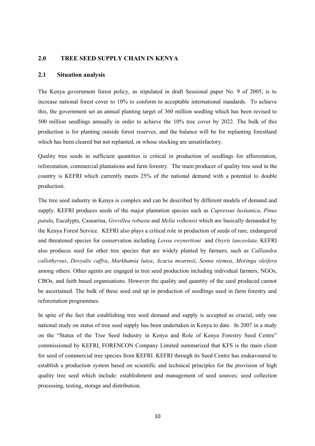#### <span id="page-9-0"></span>**2.0 TREE SEED SUPPLY CHAIN IN KENYA**

#### <span id="page-9-1"></span>**2.1 Situation analysis**

The Kenya government forest policy, as stipulated in draft Sessional paper No. 9 of 2005, is to increase national forest cover to 10% to conform to acceptable international standards. To achieve this, the government set an annual planting target of 360 million seedling which has been revised to 500 million seedlings annually in order to achieve the 10% tree cover by 2022. The bulk of this production is for planting outside forest reserves, and the balance will be for replanting forestland which has been cleared but not replanted, or whose stocking are unsatisfactory.

Quality tree seeds in sufficient quantities is critical in production of seedlings for afforestation, reforestation, commercial plantations and farm forestry. The main producer of quality tree seed in the country is KEFRI which currently meets 25% of the national demand with a potential to double production.

The tree seed industry in Kenya is complex and can be described by different models of demand and supply. KEFRI produces seeds of the major plantation species such as *Cupressus lusitanica*, *Pinus patula*, Eucalypts, Casuarina, *Grevillea robusta* and *Melia volkensii* which are basically demanded by the Kenya Forest Service. KEFRI also plays a critical role in production of seeds of rare, endangered and threatened species for conservation including *Lovoa swynerttoni* and *Osyris lanceolata*. KEFRI also produces seed for other tree species that are widely planted by farmers, such as *Calliandra callothyrsus*, *Dovyalis caffra*, *Markhamia lutea*, *Acacia mearnsii*, *Senna siemea*, *Moringa oleifera* among others*.* Other agents are engaged in tree seed production including individual farmers, NGOs, CBOs, and faith based organisations. However the quality and quantity of the seed produced cannot be ascertained. The bulk of these seed end up in production of seedlings used in farm forestry and reforestation programmes.

In spite of the fact that establishing tree seed demand and supply is accepted as crucial, only one national study on status of tree seed supply has been undertaken in Kenya to date. In 2007 in a study on the "Status of the Tree Seed Industry in Kenya and Role of Kenya Forestry Seed Centre" commissioned by KEFRI, FORENCON Company Limited summarized that KFS is the main client for seed of commercial tree species from KEFRI. KEFRI through its Seed Centre has endeavoured to establish a production system based on scientific and technical principles for the provision of high quality tree seed which include: establishment and management of seed sources; seed collection processing, testing, storage and distribution.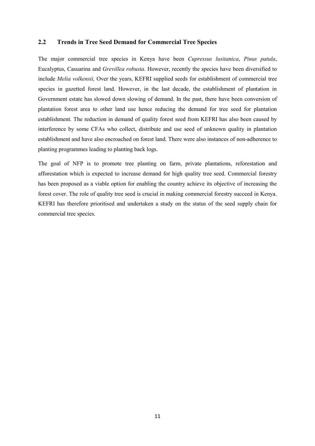#### <span id="page-10-0"></span>**2.2 Trends in Tree Seed Demand for Commercial Tree Species**

The major commercial tree species in Kenya have been *Cupressus lusitanica*, *Pinus patula*, Eucalyptus, Casuarina and *Grevillea robusta*. However, recently the species have been diversified to include *Melia volkensii,* Over the years, KEFRI supplied seeds for establishment of commercial tree species in gazetted forest land. However, in the last decade, the establishment of plantation in Government estate has slowed down slowing of demand. In the past, there have been conversion of plantation forest area to other land use hence reducing the demand for tree seed for plantation establishment. The reduction in demand of quality forest seed from KEFRI has also been caused by interference by some CFAs who collect, distribute and use seed of unknown quality in plantation establishment and have also encroached on forest land. There were also instances of non-adherence to planting programmes leading to planting back logs.

The goal of NFP is to promote tree planting on farm, private plantations, reforestation and afforestation which is expected to increase demand for high quality tree seed. Commercial forestry has been proposed as a viable option for enabling the country achieve its objective of increasing the forest cover. The role of quality tree seed is crucial in making commercial forestry succeed in Kenya. KEFRI has therefore prioritised and undertaken a study on the status of the seed supply chain for commercial tree species.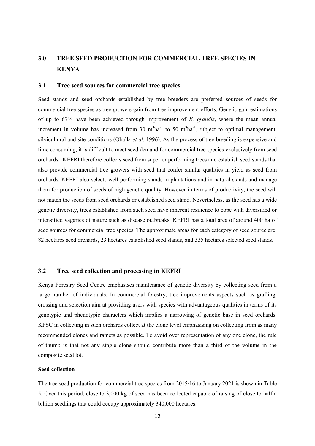## <span id="page-11-0"></span>**3.0 TREE SEED PRODUCTION FOR COMMERCIAL TREE SPECIES IN KENYA**

#### <span id="page-11-1"></span>**3.1 Tree seed sources for commercial tree species**

Seed stands and seed orchards established by tree breeders are preferred sources of seeds for commercial tree species as tree growers gain from tree improvement efforts. Genetic gain estimations of up to 67% have been achieved through improvement of *E. grandis*, where the mean annual increment in volume has increased from 30  $m<sup>3</sup>ha<sup>-1</sup>$  to 50  $m<sup>3</sup>ha<sup>-1</sup>$ , subject to optimal management, silvicultural and site conditions (Oballa *et al.* 1996). As the process of tree breeding is expensive and time consuming, it is difficult to meet seed demand for commercial tree species exclusively from seed orchards. KEFRI therefore collects seed from superior performing trees and establish seed stands that also provide commercial tree growers with seed that confer similar qualities in yield as seed from orchards. KEFRI also selects well performing stands in plantations and in natural stands and manage them for production of seeds of high genetic quality. However in terms of productivity, the seed will not match the seeds from seed orchards or established seed stand. Nevertheless, as the seed has a wide genetic diversity, trees established from such seed have inherent resilience to cope with diversified or intensified vagaries of nature such as disease outbreaks. KEFRI has a total area of around 400 ha of seed sources for commercial tree species. The approximate areas for each category of seed source are: 82 hectares seed orchards, 23 hectares established seed stands, and 335 hectares selected seed stands.

#### <span id="page-11-2"></span>**3.2 Tree seed collection and processing in KEFRI**

Kenya Forestry Seed Centre emphasises maintenance of genetic diversity by collecting seed from a large number of individuals. In commercial forestry, tree improvements aspects such as grafting, crossing and selection aim at providing users with species with advantageous qualities in terms of its genotypic and phenotypic characters which implies a narrowing of genetic base in seed orchards. KFSC in collecting in such orchards collect at the clone level emphasising on collecting from as many recommended clones and ramets as possible. To avoid over representation of any one clone, the rule of thumb is that not any single clone should contribute more than a third of the volume in the composite seed lot.

#### **Seed collection**

The tree seed production for commercial tree species from 2015/16 to January 2021 is shown in Table 5. Over this period, close to 3,000 kg of seed has been collected capable of raising of close to half a billion seedlings that could occupy approximately 340,000 hectares.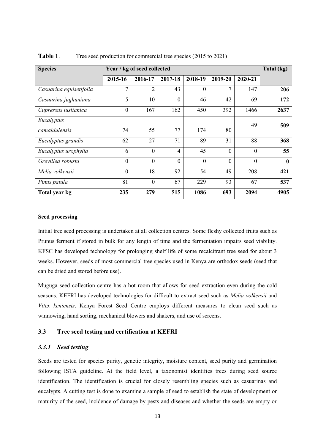| <b>Species</b>          | Year / kg of seed collected |                  |                |              |                |              | Total (kg)   |
|-------------------------|-----------------------------|------------------|----------------|--------------|----------------|--------------|--------------|
|                         | 2015-16                     | 2016-17          | 2017-18        | 2018-19      | 2019-20        | 2020-21      |              |
| Casuarina equisetifolia | 7                           | $\overline{2}$   | 43             | $\Omega$     | 7              | 147          | 206          |
| Casuarina jughuniana    | 5                           | 10               | $\overline{0}$ | 46           | 42             | 69           | 172          |
| Cupressus lusitanica    | $\boldsymbol{0}$            | 167              | 162            | 450          | 392            | 1466         | 2637         |
| Eucalyptus              |                             |                  |                |              |                | 49           | 509          |
| camaldulensis           | 74                          | 55               | 77             | 174          | 80             |              |              |
| Eucalyptus grandis      | 62                          | 27               | 71             | 89           | 31             | 88           | 368          |
| Eucalyptus urophylla    | 6                           | $\overline{0}$   | $\overline{4}$ | 45           | $\theta$       | $\theta$     | 55           |
| Grevillea robusta       | $\mathbf{0}$                | $\overline{0}$   | $\theta$       | $\mathbf{0}$ | $\overline{0}$ | $\mathbf{0}$ | $\mathbf{0}$ |
| Melia volkensii         | $\mathbf{0}$                | 18               | 92             | 54           | 49             | 208          | 421          |
| Pinus patula            | 81                          | $\boldsymbol{0}$ | 67             | 229          | 93             | 67           | 537          |
| Total year kg           | 235                         | 279              | 515            | 1086         | 693            | 2094         | 4905         |

<span id="page-12-0"></span>**Table 1.** Tree seed production for commercial tree species (2015 to 2021)

#### **Seed processing**

Initial tree seed processing is undertaken at all collection centres. Some fleshy collected fruits such as Prunus ferment if stored in bulk for any length of time and the fermentation impairs seed viability. KFSC has developed technology for prolonging shelf life of some recalcitrant tree seed for about 3 weeks. However, seeds of most commercial tree species used in Kenya are orthodox seeds (seed that can be dried and stored before use).

Muguga seed collection centre has a hot room that allows for seed extraction even during the cold seasons. KEFRI has developed technologies for difficult to extract seed such as *Melia volkensii* and *Vitex keniensis*. Kenya Forest Seed Centre employs different measures to clean seed such as winnowing, hand sorting, mechanical blowers and shakers, and use of screens.

#### <span id="page-12-1"></span>**3.3 Tree seed testing and certification at KEFRI**

#### <span id="page-12-2"></span>*3.3.1 Seed testing*

Seeds are tested for species purity, genetic integrity, moisture content, seed purity and germination following ISTA guideline. At the field level, a taxonomist identifies trees during seed source identification. The identification is crucial for closely resembling species such as casuarinas and eucalypts. A cutting test is done to examine a sample of seed to establish the state of development or maturity of the seed, incidence of damage by pests and diseases and whether the seeds are empty or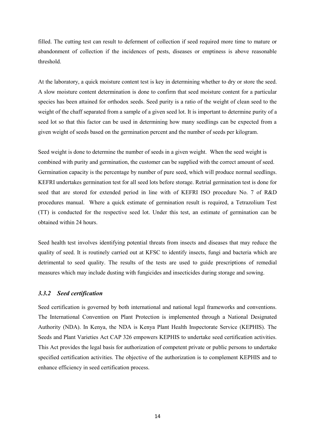filled. The cutting test can result to deferment of collection if seed required more time to mature or abandonment of collection if the incidences of pests, diseases or emptiness is above reasonable threshold.

At the laboratory, a quick moisture content test is key in determining whether to dry or store the seed. A slow moisture content determination is done to confirm that seed moisture content for a particular species has been attained for orthodox seeds. Seed purity is a ratio of the weight of clean seed to the weight of the chaff separated from a sample of a given seed lot. It is important to determine purity of a seed lot so that this factor can be used in determining how many seedlings can be expected from a given weight of seeds based on the germination percent and the number of seeds per kilogram.

Seed weight is done to determine the number of seeds in a given weight. When the seed weight is combined with purity and germination, the customer can be supplied with the correct amount of seed. Germination capacity is the percentage by number of pure seed, which will produce normal seedlings. KEFRI undertakes germination test for all seed lots before storage. Retrial germination test is done for seed that are stored for extended period in line with of KEFRI ISO procedure No. 7 of R&D procedures manual. Where a quick estimate of germination result is required, a Tetrazolium Test (TT) is conducted for the respective seed lot. Under this test, an estimate of germination can be obtained within 24 hours.

Seed health test involves identifying potential threats from insects and diseases that may reduce the quality of seed. It is routinely carried out at KFSC to identify insects, fungi and bacteria which are detrimental to seed quality. The results of the tests are used to guide prescriptions of remedial measures which may include dusting with fungicides and insecticides during storage and sowing.

#### <span id="page-13-0"></span>*3.3.2 Seed certification*

Seed certification is governed by both international and national legal frameworks and conventions. The International Convention on Plant Protection is implemented through a National Designated Authority (NDA). In Kenya, the NDA is Kenya Plant Health Inspectorate Service (KEPHIS). The Seeds and Plant Varieties Act CAP 326 empowers KEPHIS to undertake seed certification activities. This Act provides the legal basis for authorization of competent private or public persons to undertake specified certification activities. The objective of the authorization is to complement KEPHIS and to enhance efficiency in seed certification process.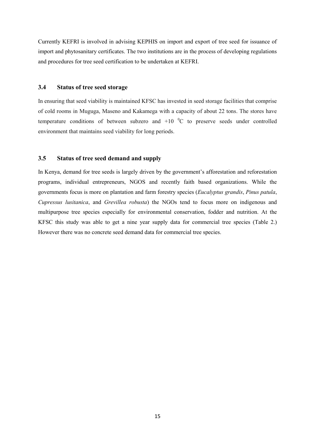Currently KEFRI is involved in advising KEPHIS on import and export of tree seed for issuance of import and phytosanitary certificates. The two institutions are in the process of developing regulations and procedures for tree seed certification to be undertaken at KEFRI.

#### <span id="page-14-0"></span>**3.4 Status of tree seed storage**

In ensuring that seed viability is maintained KFSC has invested in seed storage facilities that comprise of cold rooms in Muguga, Maseno and Kakamega with a capacity of about 22 tons. The stores have temperature conditions of between subzero and  $+10^{-0}$ C to preserve seeds under controlled environment that maintains seed viability for long periods.

#### <span id="page-14-1"></span>**3.5 Status of tree seed demand and supply**

In Kenya, demand for tree seeds is largely driven by the government's afforestation and reforestation programs, individual entrepreneurs, NGOS and recently faith based organizations. While the governments focus is more on plantation and farm forestry species (*Eucalyptus grandis*, *Pinus patula*, *Cupressus lusitanica*, and *Grevillea robusta*) the NGOs tend to focus more on indigenous and multipurpose tree species especially for environmental conservation, fodder and nutrition. At the KFSC this study was able to get a nine year supply data for commercial tree species (Table 2.) However there was no concrete seed demand data for commercial tree species.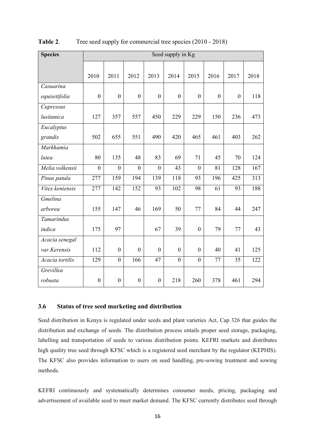| <b>Species</b>  | Seed supply in Kg |                  |                  |                  |                  |                  |                  |                  |      |
|-----------------|-------------------|------------------|------------------|------------------|------------------|------------------|------------------|------------------|------|
|                 | 2010              | 2011             | 2012             | 2013             | 2014             | 2015             | 2016             | 2017             | 2018 |
| Casuarina       |                   |                  |                  |                  |                  |                  |                  |                  |      |
| equisetifolia   | $\boldsymbol{0}$  | $\boldsymbol{0}$ | $\boldsymbol{0}$ | $\boldsymbol{0}$ | $\boldsymbol{0}$ | $\boldsymbol{0}$ | $\boldsymbol{0}$ | $\boldsymbol{0}$ | 118  |
| Cupressus       |                   |                  |                  |                  |                  |                  |                  |                  |      |
| lusitanica      | 127               | 357              | 557              | 450              | 229              | 229              | 150              | 236              | 473  |
| Eucalyptus      |                   |                  |                  |                  |                  |                  |                  |                  |      |
| grandis         | 502               | 655              | 551              | 490              | 420              | 465              | 461              | 403              | 262  |
| Markhamia       |                   |                  |                  |                  |                  |                  |                  |                  |      |
| lutea           | 80                | 135              | 48               | 83               | 69               | 71               | 45               | 70               | 124  |
| Melia volkensii | $\boldsymbol{0}$  | $\boldsymbol{0}$ | $\mathbf{0}$     | $\boldsymbol{0}$ | 43               | $\boldsymbol{0}$ | 81               | 128              | 167  |
| Pinus patula    | 277               | 159              | 194              | 139              | 118              | 93               | 196              | 425              | 313  |
| Vitex keniensis | 277               | 142              | 152              | 93               | 102              | 98               | 61               | 93               | 188  |
| Gmelina         |                   |                  |                  |                  |                  |                  |                  |                  |      |
| arborea         | 155               | 147              | 46               | 169              | 50               | 77               | 84               | 44               | 247  |
| Tamarindus      |                   |                  |                  |                  |                  |                  |                  |                  |      |
| indica          | 175               | 97               |                  | 67               | 39               | $\boldsymbol{0}$ | 79               | 77               | 43   |
| Acacia senegal  |                   |                  |                  |                  |                  |                  |                  |                  |      |
| var.Kerensis    | 112               | $\boldsymbol{0}$ | $\boldsymbol{0}$ | $\boldsymbol{0}$ | $\boldsymbol{0}$ | $\boldsymbol{0}$ | 40               | 41               | 125  |
| Acacia tortilis | 129               | $\boldsymbol{0}$ | 166              | 47               | $\boldsymbol{0}$ | $\boldsymbol{0}$ | 77               | 35               | 122  |
| Grevillea       |                   |                  |                  |                  |                  |                  |                  |                  |      |
| robusta         | $\boldsymbol{0}$  | $\boldsymbol{0}$ | $\boldsymbol{0}$ | $\boldsymbol{0}$ | 218              | 260              | 378              | 461              | 294  |

<span id="page-15-0"></span>**Table 2.** Tree seed supply for commercial tree species (2010 - 2018)

#### <span id="page-15-1"></span>**3.6 Status of tree seed marketing and distribution**

Seed distribution in Kenya is regulated under seeds and plant varieties Act, Cap 326 that guides the distribution and exchange of seeds. The distribution process entails proper seed storage, packaging, labelling and transportation of seeds to various distribution points. KEFRI markets and distributes high quality tree seed through KFSC which is a registered seed merchant by the regulator (KEPHIS). The KFSC also provides information to users on seed handling, pre-sowing treatment and sowing methods.

KEFRI continuously and systematically determines consumer needs, pricing, packaging and advertisement of available seed to meet market demand. The KFSC currently distributes seed through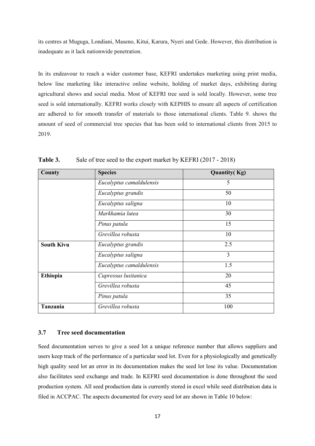its centres at Muguga, Londiani, Maseno, Kitui, Karura, Nyeri and Gede. However, this distribution is inadequate as it lack nationwide penetration.

In its endeavour to reach a wider customer base, KEFRI undertakes marketing using print media, below line marketing like interactive online website, holding of market days, exhibiting during agricultural shows and social media. Most of KEFRI tree seed is sold locally. However, some tree seed is sold internationally. KEFRI works closely with KEPHIS to ensure all aspects of certification are adhered to for smooth transfer of materials to those international clients. Table 9. shows the amount of seed of commercial tree species that has been sold to international clients from 2015 to 2019.

| County            | <b>Species</b>           | <b>Quantity(Kg)</b> |
|-------------------|--------------------------|---------------------|
|                   | Eucalyptus camaldulensis | 5                   |
|                   | Eucalyptus grandis       | 50                  |
|                   | Eucalyptus saligna       | 10                  |
|                   | Markhamia lutea          | 30                  |
|                   | Pinus patula             | 15                  |
|                   | Grevillea robusta        | 10                  |
| <b>South Kivu</b> | Eucalyptus grandis       | 2.5                 |
|                   | Eucalyptus saligna       | 3                   |
|                   | Eucalyptus camaldulensis | 1.5                 |
| Ethiopia          | Cupressus lusitanica     | 20                  |
|                   | Grevillea robusta        | 45                  |
|                   | Pinus patula             | 35                  |
| Tanzania          | Grevillea robusta        | 100                 |

<span id="page-16-0"></span>Table 3. Sale of tree seed to the export market by KEFRI (2017 - 2018)

#### <span id="page-16-1"></span>**3.7 Tree seed documentation**

Seed documentation serves to give a seed lot a unique reference number that allows suppliers and users keep track of the performance of a particular seed lot. Even for a physiologically and genetically high quality seed lot an error in its documentation makes the seed lot lose its value. Documentation also facilitates seed exchange and trade. In KEFRI seed documentation is done throughout the seed production system. All seed production data is currently stored in excel while seed distribution data is filed in ACCPAC. The aspects documented for every seed lot are shown in Table 10 below: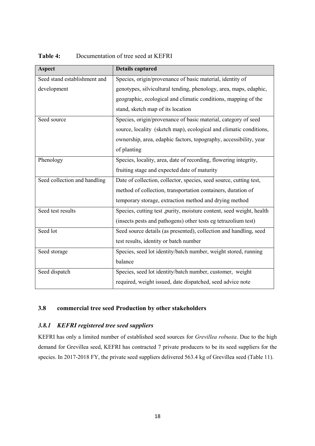| <b>Aspect</b>                | <b>Details captured</b>                                               |
|------------------------------|-----------------------------------------------------------------------|
| Seed stand establishment and | Species, origin/provenance of basic material, identity of             |
| development                  | genotypes, silvicultural tending, phenology, area, maps, edaphic,     |
|                              | geographic, ecological and climatic conditions, mapping of the        |
|                              | stand, sketch map of its location                                     |
| Seed source                  | Species, origin/provenance of basic material, category of seed        |
|                              | source, locality (sketch map), ecological and climatic conditions,    |
|                              | ownership, area, edaphic factors, topography, accessibility, year     |
|                              | of planting                                                           |
| Phenology                    | Species, locality, area, date of recording, flowering integrity,      |
|                              | fruiting stage and expected date of maturity                          |
| Seed collection and handling | Date of collection, collector, species, seed source, cutting test,    |
|                              | method of collection, transportation containers, duration of          |
|                              | temporary storage, extraction method and drying method                |
| Seed test results            | Species, cutting test , purity, moisture content, seed weight, health |
|                              | (insects pests and pathogens) other tests eg tetrazolium test)        |
| Seed lot                     | Seed source details (as presented), collection and handling, seed     |
|                              | test results, identity or batch number                                |
| Seed storage                 | Species, seed lot identity/batch number, weight stored, running       |
|                              | balance                                                               |
| Seed dispatch                | Species, seed lot identity/batch number, customer, weight             |
|                              | required, weight issued, date dispatched, seed advice note            |

<span id="page-17-0"></span>Table 4: Documentation of tree seed at KEFRI

### <span id="page-17-1"></span>**3.8 commercial tree seed Production by other stakeholders**

### <span id="page-17-2"></span>*3.8.1 KEFRI registered tree seed suppliers*

KEFRI has only a limited number of established seed sources for *Grevillea robusta*. Due to the high demand for Grevillea seed, KEFRI has contracted 7 private producers to be its seed suppliers for the species. In 2017-2018 FY, the private seed suppliers delivered 563.4 kg of Grevillea seed (Table 11).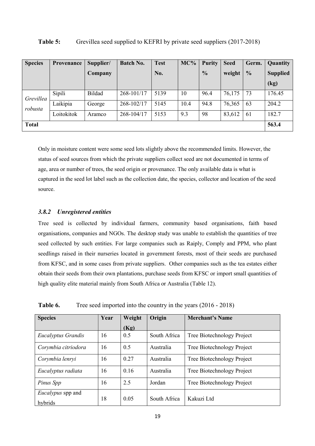| <b>Species</b>       | <b>Provenance</b> | Supplier/     | <b>Batch No.</b> | <b>Test</b> | MC%  | <b>Purity</b> | <b>Seed</b> | Germ.         | Quantity        |
|----------------------|-------------------|---------------|------------------|-------------|------|---------------|-------------|---------------|-----------------|
|                      |                   | Company       |                  | No.         |      | $\frac{0}{0}$ | weight      | $\frac{0}{0}$ | <b>Supplied</b> |
|                      |                   |               |                  |             |      |               |             |               | (kg)            |
| Grevillea<br>robusta | Sipili            | <b>Bildad</b> | 268-101/17       | 5139        | 10   | 96.4          | 76,175      | 73            | 176.45          |
|                      | Laikipia          | George        | 268-102/17       | 5145        | 10.4 | 94.8          | 76,365      | 63            | 204.2           |
|                      | Loitokitok        | Aramco        | 268-104/17       | 5153        | 9.3  | 98            | 83,612      | 61            | 182.7           |
| <b>Total</b>         |                   |               |                  |             |      |               |             |               | 563.4           |

#### <span id="page-18-0"></span>**Table 5:** Grevillea seed supplied to KEFRI by private seed suppliers (2017-2018)

Only in moisture content were some seed lots slightly above the recommended limits. However, the status of seed sources from which the private suppliers collect seed are not documented in terms of age, area or number of trees, the seed origin or provenance. The only available data is what is captured in the seed lot label such as the collection date, the species, collector and location of the seed source.

#### <span id="page-18-2"></span>*3.8.2 Unregistered entities*

Tree seed is collected by individual farmers, community based organisations, faith based organisations, companies and NGOs. The desktop study was unable to establish the quantities of tree seed collected by such entities. For large companies such as Raiply, Comply and PPM, who plant seedlings raised in their nurseries located in government forests, most of their seeds are purchased from KFSC, and in some cases from private suppliers. Other companies such as the tea estates either obtain their seeds from their own plantations, purchase seeds from KFSC or import small quantities of high quality elite material mainly from South Africa or Australia (Table 12).

| <b>Species</b>                      | Year | Weight | Origin       | <b>Merchant's Name</b>     |
|-------------------------------------|------|--------|--------------|----------------------------|
|                                     |      | (Kg)   |              |                            |
| Eucalyptus Grandis                  | 16   | 0.5    | South Africa | Tree Biotechnology Project |
| Corymbia citriodora                 | 16   | 0.5    | Australia    | Tree Biotechnology Project |
| Corymbia lenryi                     | 16   | 0.27   | Australia    | Tree Biotechnology Project |
| Eucalyptus radiata                  | 16   | 0.16   | Australia    | Tree Biotechnology Project |
| Pinus Spp                           | 16   | 2.5    | Jordan       | Tree Biotechnology Project |
| <i>Eucalypus</i> spp and<br>hybrids | 18   | 0.05   | South Africa | Kakuzi Ltd                 |

<span id="page-18-1"></span>**Table 6.** Tree seed imported into the country in the years (2016 - 2018)